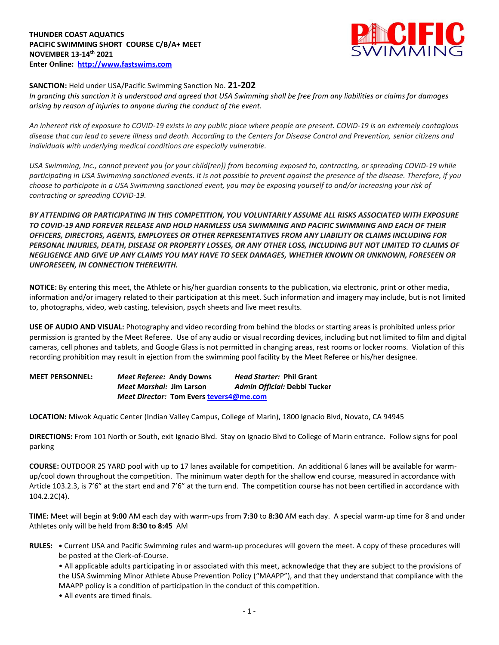

## **SANCTION:** Held under USA/Pacific Swimming Sanction No. **21-202**

*In granting this sanction it is understood and agreed that USA Swimming shall be free from any liabilities or claims for damages arising by reason of injuries to anyone during the conduct of the event.* 

*An inherent risk of exposure to COVID-19 exists in any public place where people are present. COVID-19 is an extremely contagious disease that can lead to severe illness and death. According to the Centers for Disease Control and Prevention, senior citizens and individuals with underlying medical conditions are especially vulnerable.*

*USA Swimming, Inc., cannot prevent you (or your child(ren)) from becoming exposed to, contracting, or spreading COVID-19 while participating in USA Swimming sanctioned events. It is not possible to prevent against the presence of the disease. Therefore, if you choose to participate in a USA Swimming sanctioned event, you may be exposing yourself to and/or increasing your risk of contracting or spreading COVID-19.*

*BY ATTENDING OR PARTICIPATING IN THIS COMPETITION, YOU VOLUNTARILY ASSUME ALL RISKS ASSOCIATED WITH EXPOSURE TO COVID-19 AND FOREVER RELEASE AND HOLD HARMLESS USA SWIMMING AND PACIFIC SWIMMING AND EACH OF THEIR OFFICERS, DIRECTORS, AGENTS, EMPLOYEES OR OTHER REPRESENTATIVES FROM ANY LIABILITY OR CLAIMS INCLUDING FOR PERSONAL INJURIES, DEATH, DISEASE OR PROPERTY LOSSES, OR ANY OTHER LOSS, INCLUDING BUT NOT LIMITED TO CLAIMS OF NEGLIGENCE AND GIVE UP ANY CLAIMS YOU MAY HAVE TO SEEK DAMAGES, WHETHER KNOWN OR UNKNOWN, FORESEEN OR UNFORESEEN, IN CONNECTION THEREWITH.*

**NOTICE:** By entering this meet, the Athlete or his/her guardian consents to the publication, via electronic, print or other media, information and/or imagery related to their participation at this meet. Such information and imagery may include, but is not limited to, photographs, video, web casting, television, psych sheets and live meet results.

**USE OF AUDIO AND VISUAL:** Photography and video recording from behind the blocks or starting areas is prohibited unless prior permission is granted by the Meet Referee. Use of any audio or visual recording devices, including but not limited to film and digital cameras, cell phones and tablets, and Google Glass is not permitted in changing areas, rest rooms or locker rooms. Violation of this recording prohibition may result in ejection from the swimming pool facility by the Meet Referee or his/her designee.

**MEET PERSONNEL:** *Meet Referee:* **Andy Downs** *Head Starter:* **Phil Grant** *Meet Marshal:* **Jim Larson** *Admin Official:* **Debbi Tucker** *Meet Director:* **Tom Evers [tevers4@me.com](mailto:tevers4@me.com)**

**LOCATION:** Miwok Aquatic Center (Indian Valley Campus, College of Marin), 1800 Ignacio Blvd, Novato, CA 94945

**DIRECTIONS:** From 101 North or South, exit Ignacio Blvd. Stay on Ignacio Blvd to College of Marin entrance. Follow signs for pool parking

**COURSE:** OUTDOOR 25 YARD pool with up to 17 lanes available for competition. An additional 6 lanes will be available for warmup/cool down throughout the competition. The minimum water depth for the shallow end course, measured in accordance with Article 103.2.3, is 7'6" at the start end and 7'6" at the turn end. The competition course has not been certified in accordance with 104.2.2C(4).

**TIME:** Meet will begin at **9:00** AM each day with warm-ups from **7:30** to **8:30** AM each day. A special warm-up time for 8 and under Athletes only will be held from **8:30 to 8:45** AM

**RULES: •** Current USA and Pacific Swimming rules and warm-up procedures will govern the meet. A copy of these procedures will be posted at the Clerk-of-Course.

• All applicable adults participating in or associated with this meet, acknowledge that they are subject to the provisions of the USA Swimming Minor Athlete Abuse Prevention Policy ("MAAPP"), and that they understand that compliance with the MAAPP policy is a condition of participation in the conduct of this competition.

• All events are timed finals.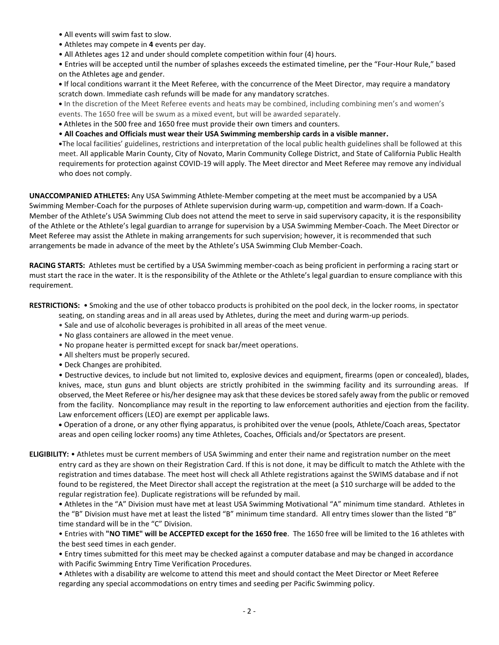- All events will swim fast to slow.
- Athletes may compete in **4** events per day.
- All Athletes ages 12 and under should complete competition within four (4) hours.

• Entries will be accepted until the number of splashes exceeds the estimated timeline, per the "Four-Hour Rule," based on the Athletes age and gender.

**•** If local conditions warrant it the Meet Referee, with the concurrence of the Meet Director, may require a mandatory scratch down. Immediate cash refunds will be made for any mandatory scratches.

**•** In the discretion of the Meet Referee events and heats may be combined, including combining men's and women's events. The 1650 free will be swum as a mixed event, but will be awarded separately.

- **•** Athletes in the 500 free and 1650 free must provide their own timers and counters.
- **All Coaches and Officials must wear their USA Swimming membership cards in a visible manner.**

**•**The local facilities' guidelines, restrictions and interpretation of the local public health guidelines shall be followed at this meet. All applicable Marin County, City of Novato, Marin Community College District, and State of California Public Health requirements for protection against COVID-19 will apply. The Meet director and Meet Referee may remove any individual who does not comply.

**UNACCOMPANIED ATHLETES:** Any USA Swimming Athlete-Member competing at the meet must be accompanied by a USA Swimming Member-Coach for the purposes of Athlete supervision during warm-up, competition and warm-down. If a Coach-Member of the Athlete's USA Swimming Club does not attend the meet to serve in said supervisory capacity, it is the responsibility of the Athlete or the Athlete's legal guardian to arrange for supervision by a USA Swimming Member-Coach. The Meet Director or Meet Referee may assist the Athlete in making arrangements for such supervision; however, it is recommended that such arrangements be made in advance of the meet by the Athlete's USA Swimming Club Member-Coach.

**RACING STARTS:** Athletes must be certified by a USA Swimming member-coach as being proficient in performing a racing start or must start the race in the water. It is the responsibility of the Athlete or the Athlete's legal guardian to ensure compliance with this requirement.

**RESTRICTIONS:** • Smoking and the use of other tobacco products is prohibited on the pool deck, in the locker rooms, in spectator

seating, on standing areas and in all areas used by Athletes, during the meet and during warm-up periods.

- Sale and use of alcoholic beverages is prohibited in all areas of the meet venue.
- No glass containers are allowed in the meet venue.
- No propane heater is permitted except for snack bar/meet operations.
- All shelters must be properly secured.
- Deck Changes are prohibited.

• Destructive devices, to include but not limited to, explosive devices and equipment, firearms (open or concealed), blades, knives, mace, stun guns and blunt objects are strictly prohibited in the swimming facility and its surrounding areas. If observed, the Meet Referee or his/her designee may ask that these devices be stored safely away from the public or removed from the facility. Noncompliance may result in the reporting to law enforcement authorities and ejection from the facility. Law enforcement officers (LEO) are exempt per applicable laws.

 Operation of a drone, or any other flying apparatus, is prohibited over the venue (pools, Athlete/Coach areas, Spectator areas and open ceiling locker rooms) any time Athletes, Coaches, Officials and/or Spectators are present.

**ELIGIBILITY:** • Athletes must be current members of USA Swimming and enter their name and registration number on the meet entry card as they are shown on their Registration Card. If this is not done, it may be difficult to match the Athlete with the registration and times database. The meet host will check all Athlete registrations against the SWIMS database and if not found to be registered, the Meet Director shall accept the registration at the meet (a \$10 surcharge will be added to the regular registration fee). Duplicate registrations will be refunded by mail.

• Athletes in the "A" Division must have met at least USA Swimming Motivational "A" minimum time standard. Athletes in the "B" Division must have met at least the listed "B" minimum time standard. All entry times slower than the listed "B" time standard will be in the "C" Division.

• Entries with **"NO TIME" will be ACCEPTED except for the 1650 free**. The 1650 free will be limited to the 16 athletes with the best seed times in each gender.

• Entry times submitted for this meet may be checked against a computer database and may be changed in accordance with Pacific Swimming Entry Time Verification Procedures.

• Athletes with a disability are welcome to attend this meet and should contact the Meet Director or Meet Referee regarding any special accommodations on entry times and seeding per Pacific Swimming policy.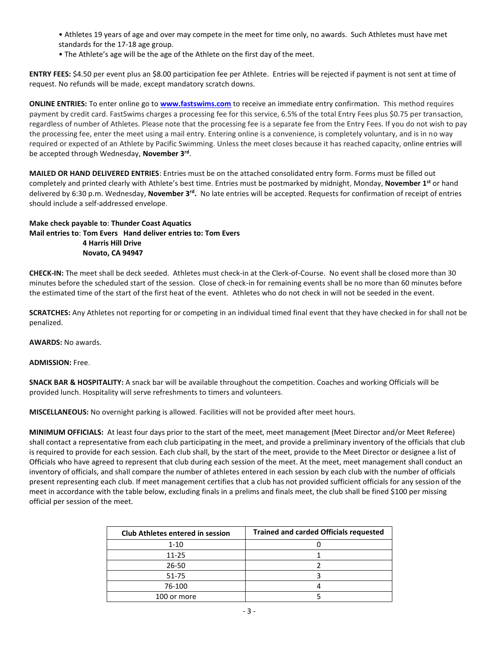- Athletes 19 years of age and over may compete in the meet for time only, no awards. Such Athletes must have met standards for the 17-18 age group.
- The Athlete's age will be the age of the Athlete on the first day of the meet.

**ENTRY FEES:** \$4.50 per event plus an \$8.00 participation fee per Athlete. Entries will be rejected if payment is not sent at time of request. No refunds will be made, except mandatory scratch downs.

**ONLINE ENTRIES:** To enter online go to **[www.fastswims.com](http://www.fastswims.com/)** to receive an immediate entry confirmation. This method requires payment by credit card. FastSwims charges a processing fee for this service, 6.5% of the total Entry Fees plus \$0.75 per transaction, regardless of number of Athletes. Please note that the processing fee is a separate fee from the Entry Fees. If you do not wish to pay the processing fee, enter the meet using a mail entry. Entering online is a convenience, is completely voluntary, and is in no way required or expected of an Athlete by Pacific Swimming. Unless the meet closes because it has reached capacity, online entries will be accepted through Wednesday, **November 3rd** .

**MAILED OR HAND DELIVERED ENTRIES**: Entries must be on the attached consolidated entry form. Forms must be filled out completely and printed clearly with Athlete's best time. Entries must be postmarked by midnight, Monday, **November 1st** or hand delivered by 6:30 p.m. Wednesday, **November 3rd .** No late entries will be accepted. Requests for confirmation of receipt of entries should include a self-addressed envelope.

## **Make check payable to**: **Thunder Coast Aquatics Mail entries to**: **Tom Evers Hand deliver entries to: Tom Evers 4 Harris Hill Drive Novato, CA 94947**

**CHECK-IN:** The meet shall be deck seeded. Athletes must check-in at the Clerk-of-Course. No event shall be closed more than 30 minutes before the scheduled start of the session. Close of check-in for remaining events shall be no more than 60 minutes before the estimated time of the start of the first heat of the event. Athletes who do not check in will not be seeded in the event.

**SCRATCHES:** Any Athletes not reporting for or competing in an individual timed final event that they have checked in for shall not be penalized.

**AWARDS:** No awards.

**ADMISSION:** Free.

**SNACK BAR & HOSPITALITY:** A snack bar will be available throughout the competition. Coaches and working Officials will be provided lunch. Hospitality will serve refreshments to timers and volunteers.

**MISCELLANEOUS:** No overnight parking is allowed. Facilities will not be provided after meet hours.

**MINIMUM OFFICIALS:** At least four days prior to the start of the meet, meet management (Meet Director and/or Meet Referee) shall contact a representative from each club participating in the meet, and provide a preliminary inventory of the officials that club is required to provide for each session. Each club shall, by the start of the meet, provide to the Meet Director or designee a list of Officials who have agreed to represent that club during each session of the meet. At the meet, meet management shall conduct an inventory of officials, and shall compare the number of athletes entered in each session by each club with the number of officials present representing each club. If meet management certifies that a club has not provided sufficient officials for any session of the meet in accordance with the table below, excluding finals in a prelims and finals meet, the club shall be fined \$100 per missing official per session of the meet.

| <b>Club Athletes entered in session</b> | <b>Trained and carded Officials requested</b> |
|-----------------------------------------|-----------------------------------------------|
| $1 - 10$                                |                                               |
| $11 - 25$                               |                                               |
| 26-50                                   |                                               |
| 51-75                                   |                                               |
| 76-100                                  |                                               |
| 100 or more                             |                                               |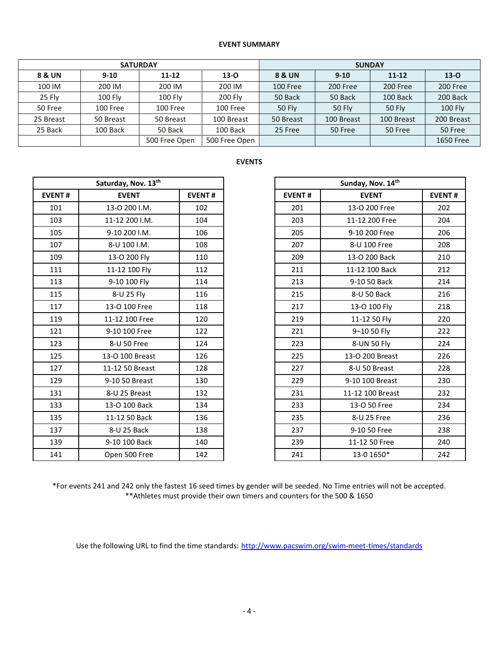## **EVENT SUMMARY**

|           | <b>SATURDAY</b> | <b>SUNDAY</b>                  |            |               |               |            |            |  |
|-----------|-----------------|--------------------------------|------------|---------------|---------------|------------|------------|--|
| 8 & UN    | $9 - 10$        | $11 - 12$                      |            | 8 & UN        | $9-10$        | $11 - 12$  | $13-0$     |  |
| 100 IM    | 200 IM          | 200 IM                         | 200 IM     | 100 Free      | 200 Free      | 200 Free   | 200 Free   |  |
| 25 Fly    | 100 Fly         | 100 Fly                        | 200 Fly    | 50 Back       | 50 Back       | 100 Back   | 200 Back   |  |
| 50 Free   | 100 Free        | 100 Free                       | 100 Free   | <b>50 Fly</b> | <b>50 Fly</b> | 50 Fly     | 100 Fly    |  |
| 25 Breast | 50 Breast       | 50 Breast                      | 100 Breast | 50 Breast     | 100 Breast    | 100 Breast | 200 Breast |  |
| 25 Back   | 100 Back        | 50 Back                        | 100 Back   | 25 Free       | 50 Free       | 50 Free    | 50 Free    |  |
|           |                 | 500 Free Open<br>500 Free Open |            |               |               |            | 1650 Free  |  |

## **EVENTS**

|               | Saturday, Nov. 13th |               |               | Sunday, Nov. 14th |  |  |
|---------------|---------------------|---------------|---------------|-------------------|--|--|
| <b>EVENT#</b> | <b>EVENT</b>        | <b>EVENT#</b> | <b>EVENT#</b> | <b>EVENT</b>      |  |  |
| 101           | 13-0 200 I.M.       | 102           | 201           | 13-O 200 Free     |  |  |
| 103           | 11-12 200 I.M.      | 104           | 203           | 11-12 200 Free    |  |  |
| 105           | 9-10 200 I.M.       | 106           | 205           | 9-10 200 Free     |  |  |
| 107           | 8-U 100 I.M.        | 108           | 207           | 8-U 100 Free      |  |  |
| 109           | 13-O 200 Fly        | 110           | 209           | 13-O 200 Back     |  |  |
| 111           | 11-12 100 Fly       | 112           | 211           | 11-12 100 Back    |  |  |
| 113           | 9-10 100 Fly        | 114           | 213           | 9-10 50 Back      |  |  |
| 115           | 8-U 25 Fly          | 116           | 215           | 8-U 50 Back       |  |  |
| 117           | 13-0 100 Free       | 118           | 217           | 13-0 100 Fly      |  |  |
| 119           | 11-12 100 Free      | 120           | 219           | 11-12 50 Fly      |  |  |
| 121           | 9-10 100 Free       | 122           | 221           | 9-10 50 Fly       |  |  |
| 123           | 8-U 50 Free         | 124           | 223           | 8-UN 50 Fly       |  |  |
| 125           | 13-O 100 Breast     | 126           | 225           | 13-O 200 Breast   |  |  |
| 127           | 11-12 50 Breast     | 128           | 227           | 8-U 50 Breast     |  |  |
| 129           | 9-10 50 Breast      | 130           | 229           | 9-10 100 Breast   |  |  |
| 131           | 8-U 25 Breast       | 132           | 231           | 11-12 100 Breast  |  |  |
| 133           | 13-0 100 Back       | 134           | 233           | 13-O 50 Free      |  |  |
| 135           | 11-12 50 Back       | 136           | 235           | 8-U 25 Free       |  |  |
| 137           | 8-U 25 Back         | 138           | 237           | 9-10 50 Free      |  |  |
| 139           | 9-10 100 Back       | 140           | 239           | 11-12 50 Free     |  |  |
| 141           | Open 500 Free       | 142           | 241           | 13-0 1650*        |  |  |

|               | Saturday, Nov. 13th |               |
|---------------|---------------------|---------------|
| <b>EVENT#</b> | <b>EVENT</b>        | <b>EVENT#</b> |
| 101           | 13-0 200 I.M.       | 102           |
| 103           | 11-12 200 I.M.      | 104           |
| 105           | 9-10 200 I.M.       | 106           |
| 107           | 8-U 100 I.M.        | 108           |
| 109           | 13-O 200 Fly        | 110           |
| 111           | 11-12 100 Fly       | 112           |
| 113           | 9-10 100 Fly        | 114           |
| 115           | 8-U 25 Fly          | 116           |
| 117           | 13-0 100 Free       | 118           |
| 119           | 11-12 100 Free      | 120           |
| 121           | 9-10 100 Free       | 122           |
| 123           | 8-U 50 Free         | 124           |
| 125           | 13-O 100 Breast     | 126           |
| 127           | 11-12 50 Breast     | 128           |
| 129           | 9-10 50 Breast      | 130           |
| 131           | 8-U 25 Breast       | 132           |
| 133           | 13-O 100 Back       | 134           |
| 135           | 11-12 50 Back       | 136           |
| 137           | 8-U 25 Back         | 138           |
| 139           | 9-10 100 Back       | 140           |
| 141           | Open 500 Free       | 142           |

\*For events 241 and 242 only the fastest 16 seed times by gender will be seeded. No Time entries will not be accepted. \*\*Athletes must provide their own timers and counters for the 500 & 1650

Use the following URL to find the time standards: <http://www.pacswim.org/swim-meet-times/standards>